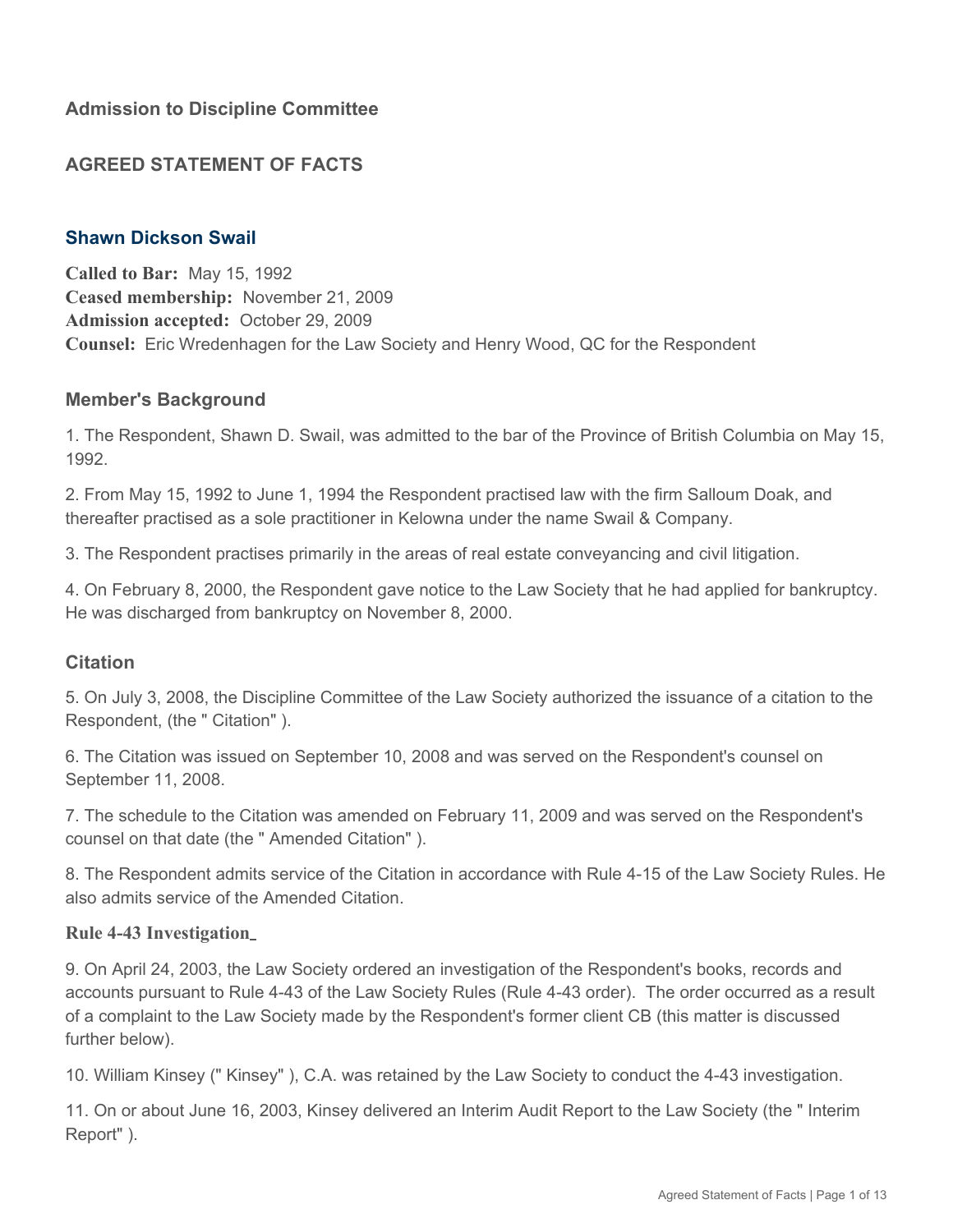# **AGREED STATEMENT OF FACTS**

## **Shawn Dickson Swail**

**Called to Bar:** May 15, 1992 **Ceased membership:** November 21, 2009 **Admission accepted:** October 29, 2009 **Counsel:** Eric Wredenhagen for the Law Society and Henry Wood, QC for the Respondent

### **Member's Background**

1. The Respondent, Shawn D. Swail, was admitted to the bar of the Province of British Columbia on May 15, 1992.

2. From May 15, 1992 to June 1, 1994 the Respondent practised law with the firm Salloum Doak, and thereafter practised as a sole practitioner in Kelowna under the name Swail & Company.

3. The Respondent practises primarily in the areas of real estate conveyancing and civil litigation.

4. On February 8, 2000, the Respondent gave notice to the Law Society that he had applied for bankruptcy. He was discharged from bankruptcy on November 8, 2000.

## **Citation**

5. On July 3, 2008, the Discipline Committee of the Law Society authorized the issuance of a citation to the Respondent, (the " Citation" ).

6. The Citation was issued on September 10, 2008 and was served on the Respondent's counsel on September 11, 2008.

7. The schedule to the Citation was amended on February 11, 2009 and was served on the Respondent's counsel on that date (the " Amended Citation" ).

8. The Respondent admits service of the Citation in accordance with Rule 4-15 of the Law Society Rules. He also admits service of the Amended Citation.

#### **Rule 4-43 Investigation**

9. On April 24, 2003, the Law Society ordered an investigation of the Respondent's books, records and accounts pursuant to Rule 4-43 of the Law Society Rules (Rule 4-43 order). The order occurred as a result of a complaint to the Law Society made by the Respondent's former client CB (this matter is discussed further below).

10. William Kinsey (" Kinsey" ), C.A. was retained by the Law Society to conduct the 4-43 investigation.

11. On or about June 16, 2003, Kinsey delivered an Interim Audit Report to the Law Society (the " Interim Report" ).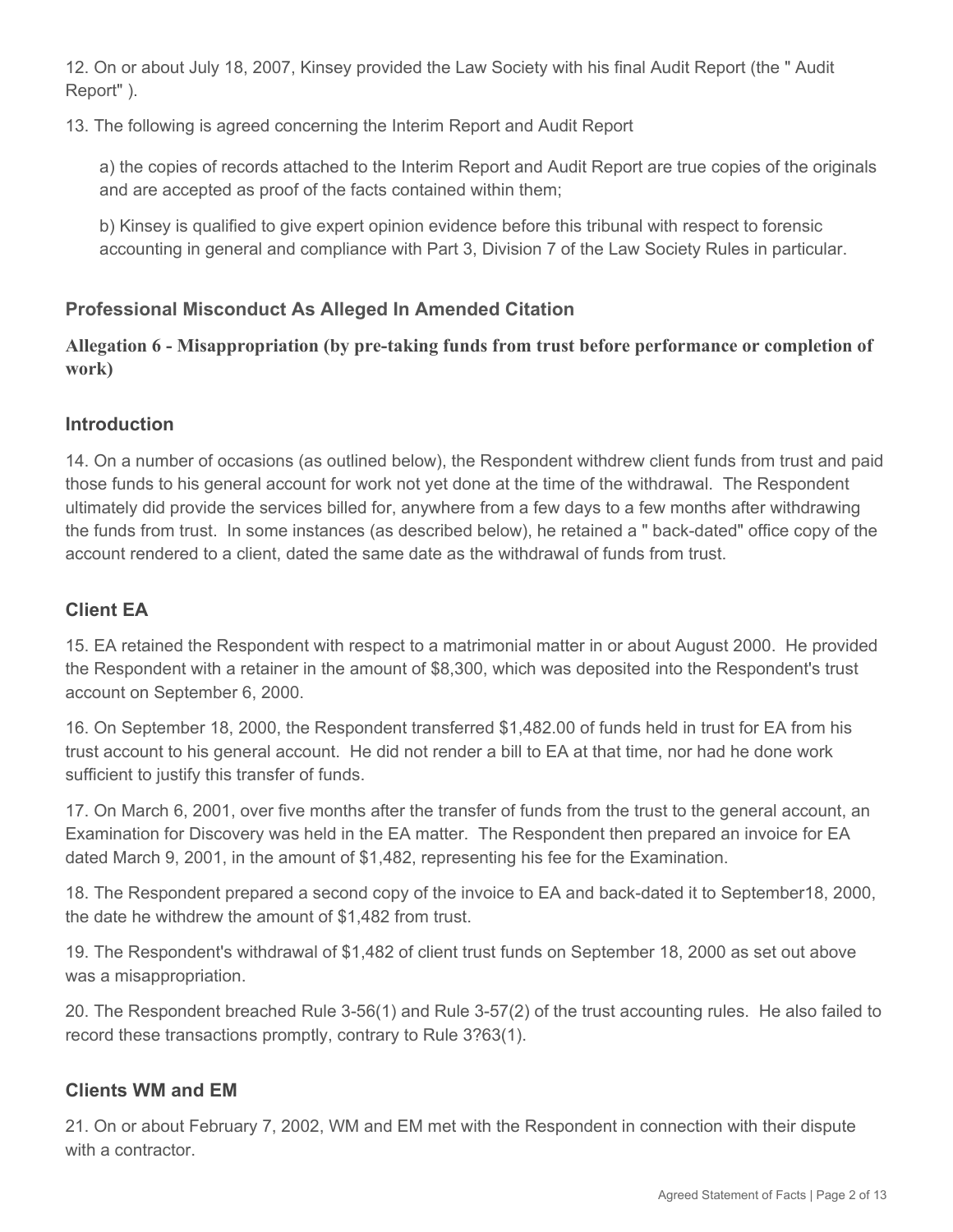12. On or about July 18, 2007, Kinsey provided the Law Society with his final Audit Report (the " Audit Report" ).

13. The following is agreed concerning the Interim Report and Audit Report

a) the copies of records attached to the Interim Report and Audit Report are true copies of the originals and are accepted as proof of the facts contained within them;

b) Kinsey is qualified to give expert opinion evidence before this tribunal with respect to forensic accounting in general and compliance with Part 3, Division 7 of the Law Society Rules in particular.

# **Professional Misconduct As Alleged In Amended Citation**

**Allegation 6 - Misappropriation (by pre-taking funds from trust before performance or completion of work)**

## **Introduction**

14. On a number of occasions (as outlined below), the Respondent withdrew client funds from trust and paid those funds to his general account for work not yet done at the time of the withdrawal. The Respondent ultimately did provide the services billed for, anywhere from a few days to a few months after withdrawing the funds from trust. In some instances (as described below), he retained a " back-dated" office copy of the account rendered to a client, dated the same date as the withdrawal of funds from trust.

# **Client EA**

15. EA retained the Respondent with respect to a matrimonial matter in or about August 2000. He provided the Respondent with a retainer in the amount of \$8,300, which was deposited into the Respondent's trust account on September 6, 2000.

16. On September 18, 2000, the Respondent transferred \$1,482.00 of funds held in trust for EA from his trust account to his general account. He did not render a bill to EA at that time, nor had he done work sufficient to justify this transfer of funds.

17. On March 6, 2001, over five months after the transfer of funds from the trust to the general account, an Examination for Discovery was held in the EA matter. The Respondent then prepared an invoice for EA dated March 9, 2001, in the amount of \$1,482, representing his fee for the Examination.

18. The Respondent prepared a second copy of the invoice to EA and back-dated it to September18, 2000, the date he withdrew the amount of \$1,482 from trust.

19. The Respondent's withdrawal of \$1,482 of client trust funds on September 18, 2000 as set out above was a misappropriation.

20. The Respondent breached Rule 3-56(1) and Rule 3-57(2) of the trust accounting rules. He also failed to record these transactions promptly, contrary to Rule 3?63(1).

## **Clients WM and EM**

21. On or about February 7, 2002, WM and EM met with the Respondent in connection with their dispute with a contractor.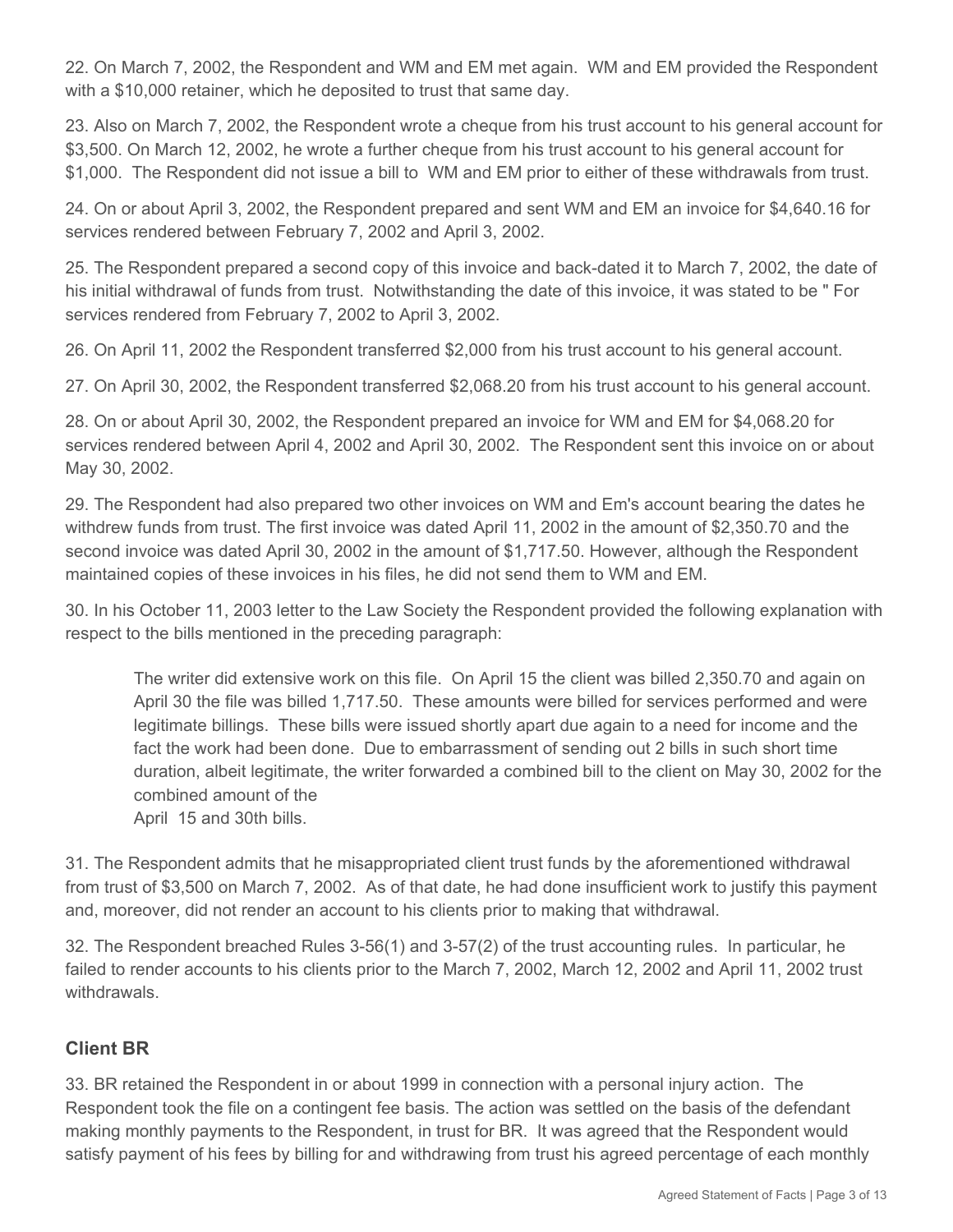22. On March 7, 2002, the Respondent and WM and EM met again. WM and EM provided the Respondent with a \$10,000 retainer, which he deposited to trust that same day.

23. Also on March 7, 2002, the Respondent wrote a cheque from his trust account to his general account for \$3,500. On March 12, 2002, he wrote a further cheque from his trust account to his general account for \$1,000. The Respondent did not issue a bill to WM and EM prior to either of these withdrawals from trust.

24. On or about April 3, 2002, the Respondent prepared and sent WM and EM an invoice for \$4,640.16 for services rendered between February 7, 2002 and April 3, 2002.

25. The Respondent prepared a second copy of this invoice and back-dated it to March 7, 2002, the date of his initial withdrawal of funds from trust. Notwithstanding the date of this invoice, it was stated to be " For services rendered from February 7, 2002 to April 3, 2002.

26. On April 11, 2002 the Respondent transferred \$2,000 from his trust account to his general account.

27. On April 30, 2002, the Respondent transferred \$2,068.20 from his trust account to his general account.

28. On or about April 30, 2002, the Respondent prepared an invoice for WM and EM for \$4,068.20 for services rendered between April 4, 2002 and April 30, 2002. The Respondent sent this invoice on or about May 30, 2002.

29. The Respondent had also prepared two other invoices on WM and Em's account bearing the dates he withdrew funds from trust. The first invoice was dated April 11, 2002 in the amount of \$2,350.70 and the second invoice was dated April 30, 2002 in the amount of \$1,717.50. However, although the Respondent maintained copies of these invoices in his files, he did not send them to WM and EM.

30. In his October 11, 2003 letter to the Law Society the Respondent provided the following explanation with respect to the bills mentioned in the preceding paragraph:

The writer did extensive work on this file. On April 15 the client was billed 2,350.70 and again on April 30 the file was billed 1,717.50. These amounts were billed for services performed and were legitimate billings. These bills were issued shortly apart due again to a need for income and the fact the work had been done. Due to embarrassment of sending out 2 bills in such short time duration, albeit legitimate, the writer forwarded a combined bill to the client on May 30, 2002 for the combined amount of the

April 15 and 30th bills.

31. The Respondent admits that he misappropriated client trust funds by the aforementioned withdrawal from trust of \$3,500 on March 7, 2002. As of that date, he had done insufficient work to justify this payment and, moreover, did not render an account to his clients prior to making that withdrawal.

32. The Respondent breached Rules 3-56(1) and 3-57(2) of the trust accounting rules. In particular, he failed to render accounts to his clients prior to the March 7, 2002, March 12, 2002 and April 11, 2002 trust withdrawals.

## **Client BR**

33. BR retained the Respondent in or about 1999 in connection with a personal injury action. The Respondent took the file on a contingent fee basis. The action was settled on the basis of the defendant making monthly payments to the Respondent, in trust for BR. It was agreed that the Respondent would satisfy payment of his fees by billing for and withdrawing from trust his agreed percentage of each monthly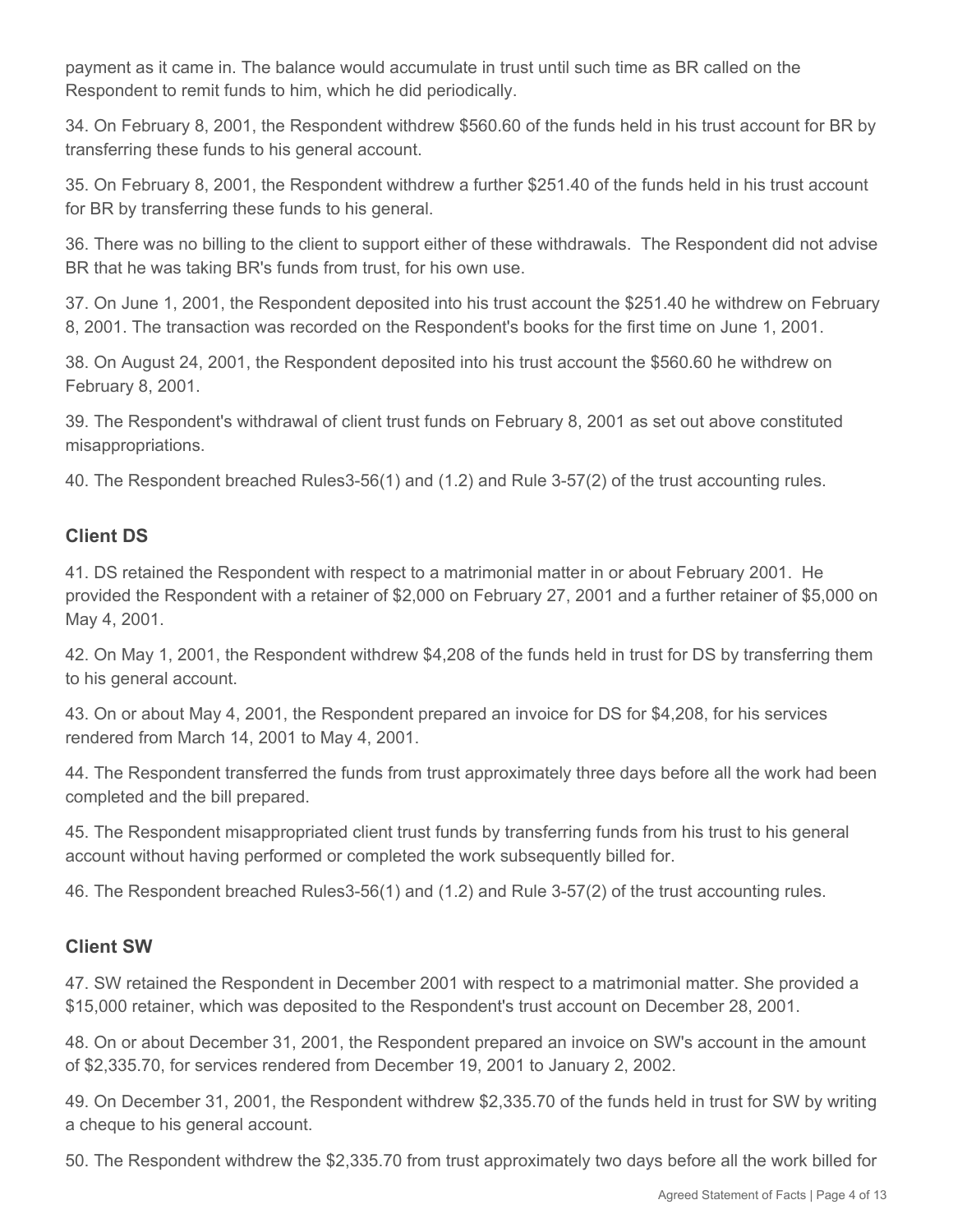payment as it came in. The balance would accumulate in trust until such time as BR called on the Respondent to remit funds to him, which he did periodically.

34. On February 8, 2001, the Respondent withdrew \$560.60 of the funds held in his trust account for BR by transferring these funds to his general account.

35. On February 8, 2001, the Respondent withdrew a further \$251.40 of the funds held in his trust account for BR by transferring these funds to his general.

36. There was no billing to the client to support either of these withdrawals. The Respondent did not advise BR that he was taking BR's funds from trust, for his own use.

37. On June 1, 2001, the Respondent deposited into his trust account the \$251.40 he withdrew on February 8, 2001. The transaction was recorded on the Respondent's books for the first time on June 1, 2001.

38. On August 24, 2001, the Respondent deposited into his trust account the \$560.60 he withdrew on February 8, 2001.

39. The Respondent's withdrawal of client trust funds on February 8, 2001 as set out above constituted misappropriations.

40. The Respondent breached Rules3-56(1) and (1.2) and Rule 3-57(2) of the trust accounting rules.

# **Client DS**

41. DS retained the Respondent with respect to a matrimonial matter in or about February 2001. He provided the Respondent with a retainer of \$2,000 on February 27, 2001 and a further retainer of \$5,000 on May 4, 2001.

42. On May 1, 2001, the Respondent withdrew \$4,208 of the funds held in trust for DS by transferring them to his general account.

43. On or about May 4, 2001, the Respondent prepared an invoice for DS for \$4,208, for his services rendered from March 14, 2001 to May 4, 2001.

44. The Respondent transferred the funds from trust approximately three days before all the work had been completed and the bill prepared.

45. The Respondent misappropriated client trust funds by transferring funds from his trust to his general account without having performed or completed the work subsequently billed for.

46. The Respondent breached Rules3-56(1) and (1.2) and Rule 3-57(2) of the trust accounting rules.

## **Client SW**

47. SW retained the Respondent in December 2001 with respect to a matrimonial matter. She provided a \$15,000 retainer, which was deposited to the Respondent's trust account on December 28, 2001.

48. On or about December 31, 2001, the Respondent prepared an invoice on SW's account in the amount of \$2,335.70, for services rendered from December 19, 2001 to January 2, 2002.

49. On December 31, 2001, the Respondent withdrew \$2,335.70 of the funds held in trust for SW by writing a cheque to his general account.

50. The Respondent withdrew the \$2,335.70 from trust approximately two days before all the work billed for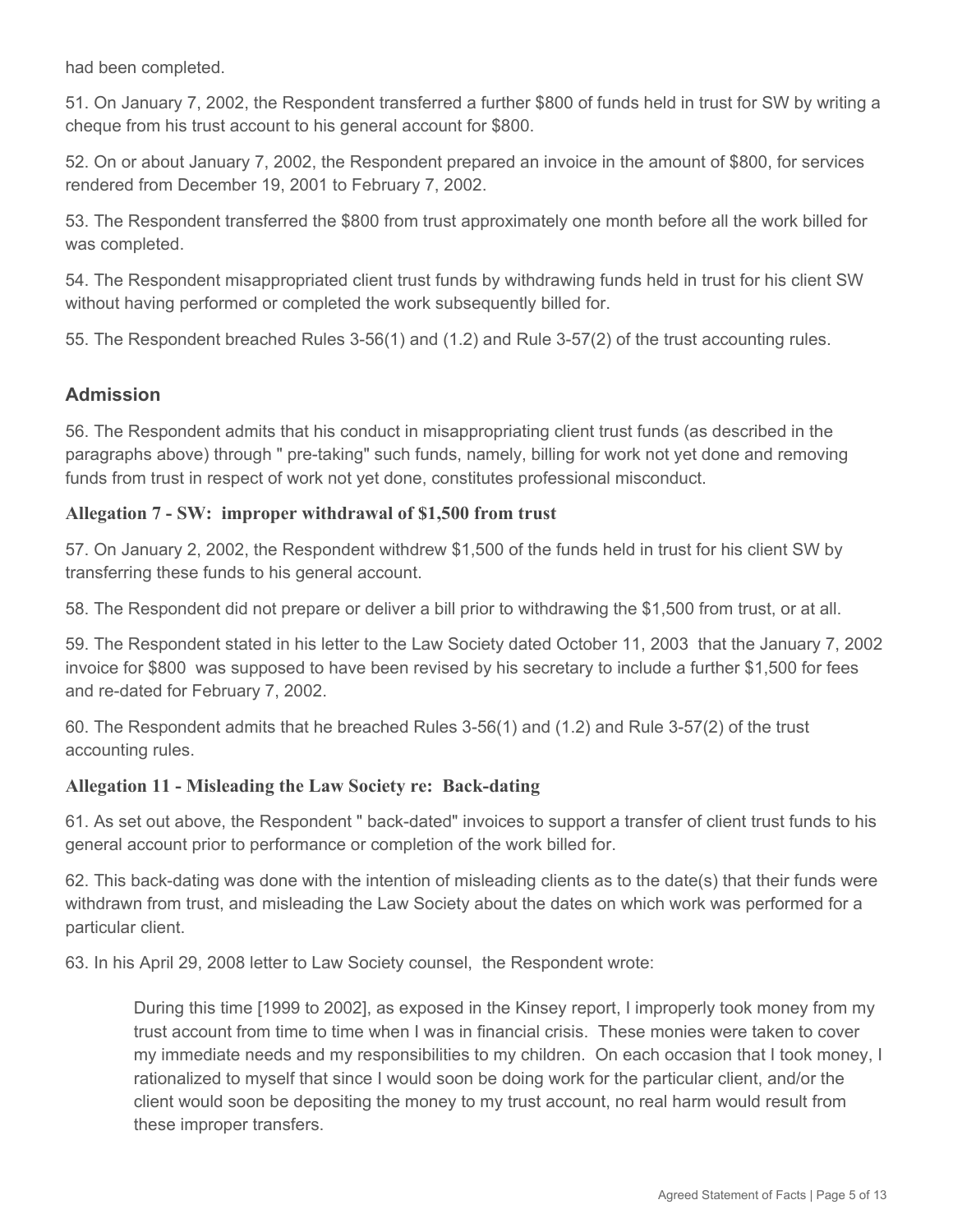had been completed.

51. On January 7, 2002, the Respondent transferred a further \$800 of funds held in trust for SW by writing a cheque from his trust account to his general account for \$800.

52. On or about January 7, 2002, the Respondent prepared an invoice in the amount of \$800, for services rendered from December 19, 2001 to February 7, 2002.

53. The Respondent transferred the \$800 from trust approximately one month before all the work billed for was completed.

54. The Respondent misappropriated client trust funds by withdrawing funds held in trust for his client SW without having performed or completed the work subsequently billed for.

55. The Respondent breached Rules 3-56(1) and (1.2) and Rule 3-57(2) of the trust accounting rules.

### **Admission**

56. The Respondent admits that his conduct in misappropriating client trust funds (as described in the paragraphs above) through " pre-taking" such funds, namely, billing for work not yet done and removing funds from trust in respect of work not yet done, constitutes professional misconduct.

#### **Allegation 7 - SW: improper withdrawal of \$1,500 from trust**

57. On January 2, 2002, the Respondent withdrew \$1,500 of the funds held in trust for his client SW by transferring these funds to his general account.

58. The Respondent did not prepare or deliver a bill prior to withdrawing the \$1,500 from trust, or at all.

59. The Respondent stated in his letter to the Law Society dated October 11, 2003 that the January 7, 2002 invoice for \$800 was supposed to have been revised by his secretary to include a further \$1,500 for fees and re-dated for February 7, 2002.

60. The Respondent admits that he breached Rules 3-56(1) and (1.2) and Rule 3-57(2) of the trust accounting rules.

#### **Allegation 11 - Misleading the Law Society re: Back-dating**

61. As set out above, the Respondent " back-dated" invoices to support a transfer of client trust funds to his general account prior to performance or completion of the work billed for.

62. This back-dating was done with the intention of misleading clients as to the date(s) that their funds were withdrawn from trust, and misleading the Law Society about the dates on which work was performed for a particular client.

63. In his April 29, 2008 letter to Law Society counsel, the Respondent wrote:

During this time [1999 to 2002], as exposed in the Kinsey report, I improperly took money from my trust account from time to time when I was in financial crisis. These monies were taken to cover my immediate needs and my responsibilities to my children. On each occasion that I took money, I rationalized to myself that since I would soon be doing work for the particular client, and/or the client would soon be depositing the money to my trust account, no real harm would result from these improper transfers.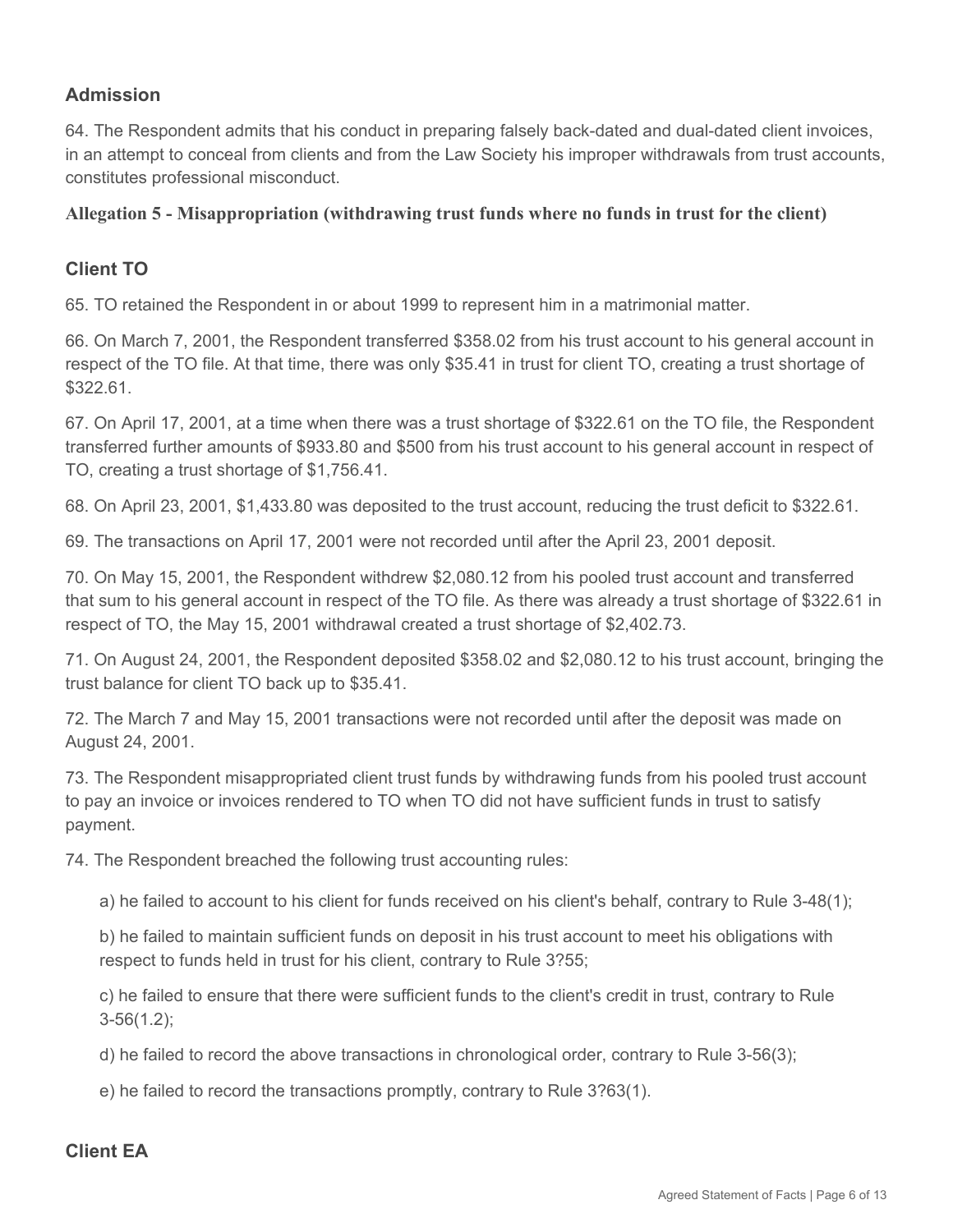## **Admission**

64. The Respondent admits that his conduct in preparing falsely back-dated and dual-dated client invoices, in an attempt to conceal from clients and from the Law Society his improper withdrawals from trust accounts, constitutes professional misconduct.

#### **Allegation 5 - Misappropriation (withdrawing trust funds where no funds in trust for the client)**

### **Client TO**

65. TO retained the Respondent in or about 1999 to represent him in a matrimonial matter.

66. On March 7, 2001, the Respondent transferred \$358.02 from his trust account to his general account in respect of the TO file. At that time, there was only \$35.41 in trust for client TO, creating a trust shortage of \$322.61.

67. On April 17, 2001, at a time when there was a trust shortage of \$322.61 on the TO file, the Respondent transferred further amounts of \$933.80 and \$500 from his trust account to his general account in respect of TO, creating a trust shortage of \$1,756.41.

68. On April 23, 2001, \$1,433.80 was deposited to the trust account, reducing the trust deficit to \$322.61.

69. The transactions on April 17, 2001 were not recorded until after the April 23, 2001 deposit.

70. On May 15, 2001, the Respondent withdrew \$2,080.12 from his pooled trust account and transferred that sum to his general account in respect of the TO file. As there was already a trust shortage of \$322.61 in respect of TO, the May 15, 2001 withdrawal created a trust shortage of \$2,402.73.

71. On August 24, 2001, the Respondent deposited \$358.02 and \$2,080.12 to his trust account, bringing the trust balance for client TO back up to \$35.41.

72. The March 7 and May 15, 2001 transactions were not recorded until after the deposit was made on August 24, 2001.

73. The Respondent misappropriated client trust funds by withdrawing funds from his pooled trust account to pay an invoice or invoices rendered to TO when TO did not have sufficient funds in trust to satisfy payment.

74. The Respondent breached the following trust accounting rules:

a) he failed to account to his client for funds received on his client's behalf, contrary to Rule 3-48(1);

b) he failed to maintain sufficient funds on deposit in his trust account to meet his obligations with respect to funds held in trust for his client, contrary to Rule 3?55;

c) he failed to ensure that there were sufficient funds to the client's credit in trust, contrary to Rule 3-56(1.2);

d) he failed to record the above transactions in chronological order, contrary to Rule 3-56(3);

e) he failed to record the transactions promptly, contrary to Rule 3?63(1).

#### **Client EA**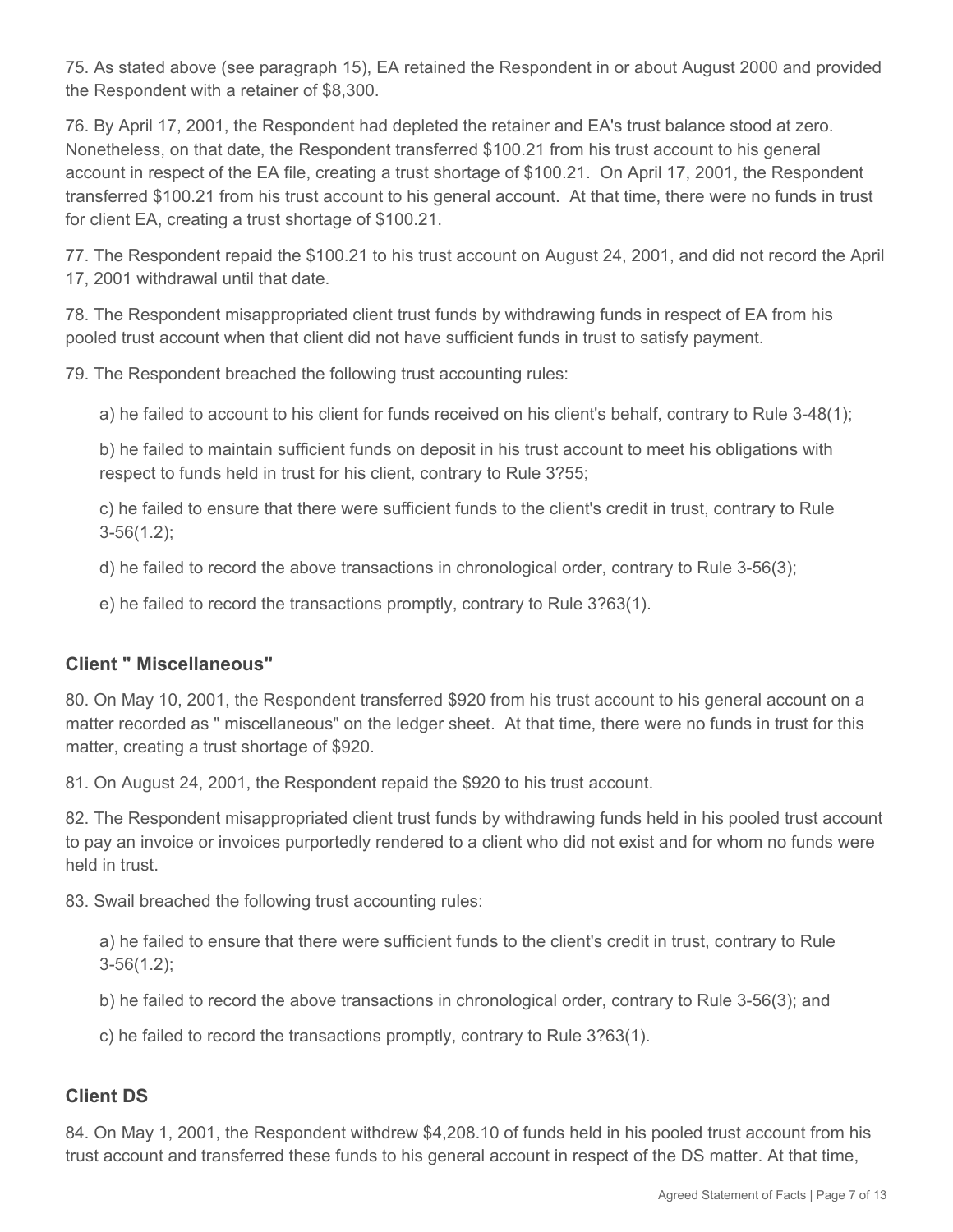75. As stated above (see paragraph 15), EA retained the Respondent in or about August 2000 and provided the Respondent with a retainer of \$8,300.

76. By April 17, 2001, the Respondent had depleted the retainer and EA's trust balance stood at zero. Nonetheless, on that date, the Respondent transferred \$100.21 from his trust account to his general account in respect of the EA file, creating a trust shortage of \$100.21. On April 17, 2001, the Respondent transferred \$100.21 from his trust account to his general account. At that time, there were no funds in trust for client EA, creating a trust shortage of \$100.21.

77. The Respondent repaid the \$100.21 to his trust account on August 24, 2001, and did not record the April 17, 2001 withdrawal until that date.

78. The Respondent misappropriated client trust funds by withdrawing funds in respect of EA from his pooled trust account when that client did not have sufficient funds in trust to satisfy payment.

79. The Respondent breached the following trust accounting rules:

a) he failed to account to his client for funds received on his client's behalf, contrary to Rule 3-48(1);

b) he failed to maintain sufficient funds on deposit in his trust account to meet his obligations with respect to funds held in trust for his client, contrary to Rule 3?55;

c) he failed to ensure that there were sufficient funds to the client's credit in trust, contrary to Rule 3-56(1.2);

d) he failed to record the above transactions in chronological order, contrary to Rule 3-56(3);

e) he failed to record the transactions promptly, contrary to Rule 3?63(1).

#### **Client " Miscellaneous"**

80. On May 10, 2001, the Respondent transferred \$920 from his trust account to his general account on a matter recorded as " miscellaneous" on the ledger sheet. At that time, there were no funds in trust for this matter, creating a trust shortage of \$920.

81. On August 24, 2001, the Respondent repaid the \$920 to his trust account.

82. The Respondent misappropriated client trust funds by withdrawing funds held in his pooled trust account to pay an invoice or invoices purportedly rendered to a client who did not exist and for whom no funds were held in trust.

83. Swail breached the following trust accounting rules:

a) he failed to ensure that there were sufficient funds to the client's credit in trust, contrary to Rule 3-56(1.2);

b) he failed to record the above transactions in chronological order, contrary to Rule 3-56(3); and

c) he failed to record the transactions promptly, contrary to Rule 3?63(1).

#### **Client DS**

84. On May 1, 2001, the Respondent withdrew \$4,208.10 of funds held in his pooled trust account from his trust account and transferred these funds to his general account in respect of the DS matter. At that time,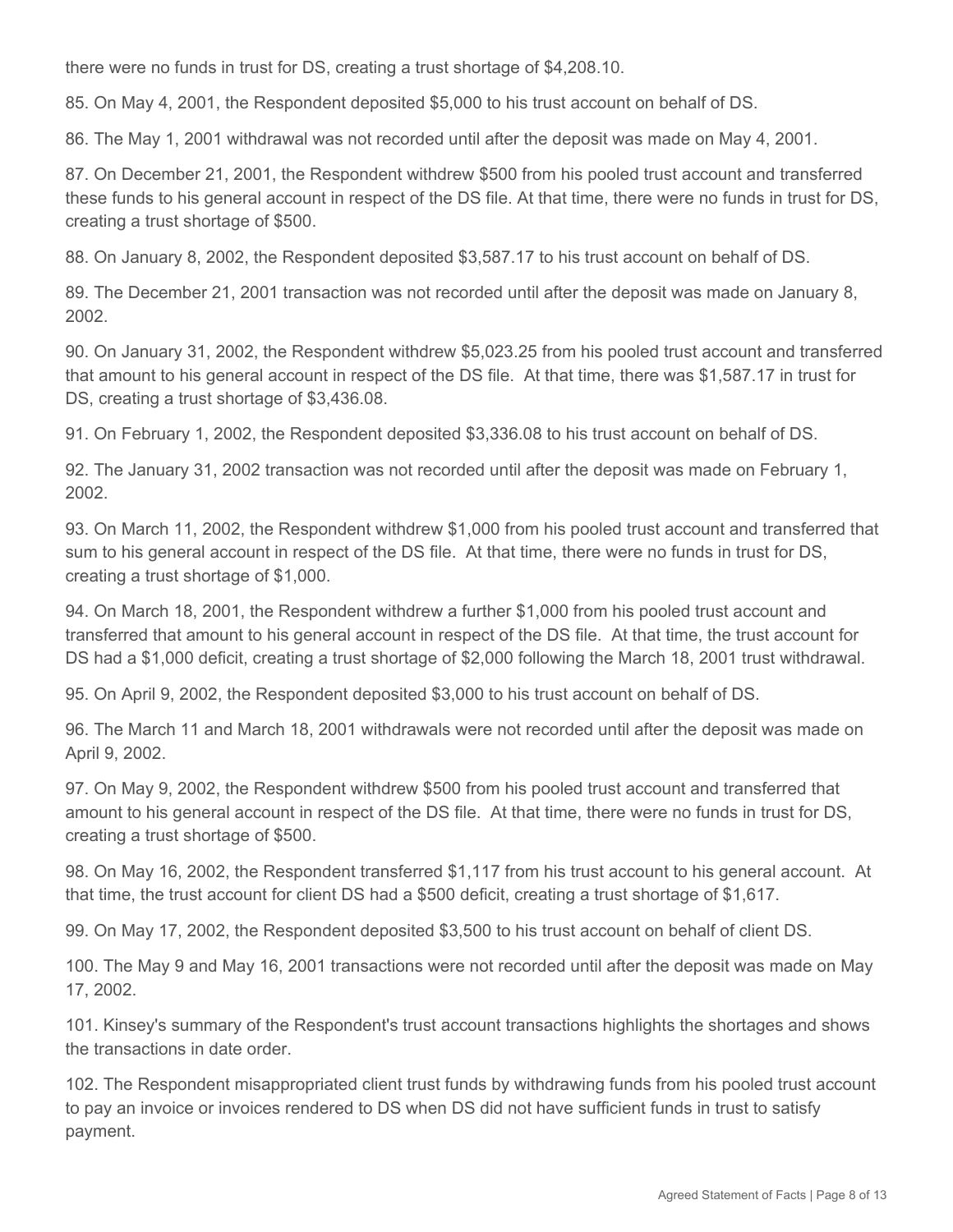there were no funds in trust for DS, creating a trust shortage of \$4,208.10.

85. On May 4, 2001, the Respondent deposited \$5,000 to his trust account on behalf of DS.

86. The May 1, 2001 withdrawal was not recorded until after the deposit was made on May 4, 2001.

87. On December 21, 2001, the Respondent withdrew \$500 from his pooled trust account and transferred these funds to his general account in respect of the DS file. At that time, there were no funds in trust for DS, creating a trust shortage of \$500.

88. On January 8, 2002, the Respondent deposited \$3,587.17 to his trust account on behalf of DS.

89. The December 21, 2001 transaction was not recorded until after the deposit was made on January 8, 2002.

90. On January 31, 2002, the Respondent withdrew \$5,023.25 from his pooled trust account and transferred that amount to his general account in respect of the DS file. At that time, there was \$1,587.17 in trust for DS, creating a trust shortage of \$3,436.08.

91. On February 1, 2002, the Respondent deposited \$3,336.08 to his trust account on behalf of DS.

92. The January 31, 2002 transaction was not recorded until after the deposit was made on February 1, 2002.

93. On March 11, 2002, the Respondent withdrew \$1,000 from his pooled trust account and transferred that sum to his general account in respect of the DS file. At that time, there were no funds in trust for DS, creating a trust shortage of \$1,000.

94. On March 18, 2001, the Respondent withdrew a further \$1,000 from his pooled trust account and transferred that amount to his general account in respect of the DS file. At that time, the trust account for DS had a \$1,000 deficit, creating a trust shortage of \$2,000 following the March 18, 2001 trust withdrawal.

95. On April 9, 2002, the Respondent deposited \$3,000 to his trust account on behalf of DS.

96. The March 11 and March 18, 2001 withdrawals were not recorded until after the deposit was made on April 9, 2002.

97. On May 9, 2002, the Respondent withdrew \$500 from his pooled trust account and transferred that amount to his general account in respect of the DS file. At that time, there were no funds in trust for DS, creating a trust shortage of \$500.

98. On May 16, 2002, the Respondent transferred \$1,117 from his trust account to his general account. At that time, the trust account for client DS had a \$500 deficit, creating a trust shortage of \$1,617.

99. On May 17, 2002, the Respondent deposited \$3,500 to his trust account on behalf of client DS.

100. The May 9 and May 16, 2001 transactions were not recorded until after the deposit was made on May 17, 2002.

101. Kinsey's summary of the Respondent's trust account transactions highlights the shortages and shows the transactions in date order.

102. The Respondent misappropriated client trust funds by withdrawing funds from his pooled trust account to pay an invoice or invoices rendered to DS when DS did not have sufficient funds in trust to satisfy payment.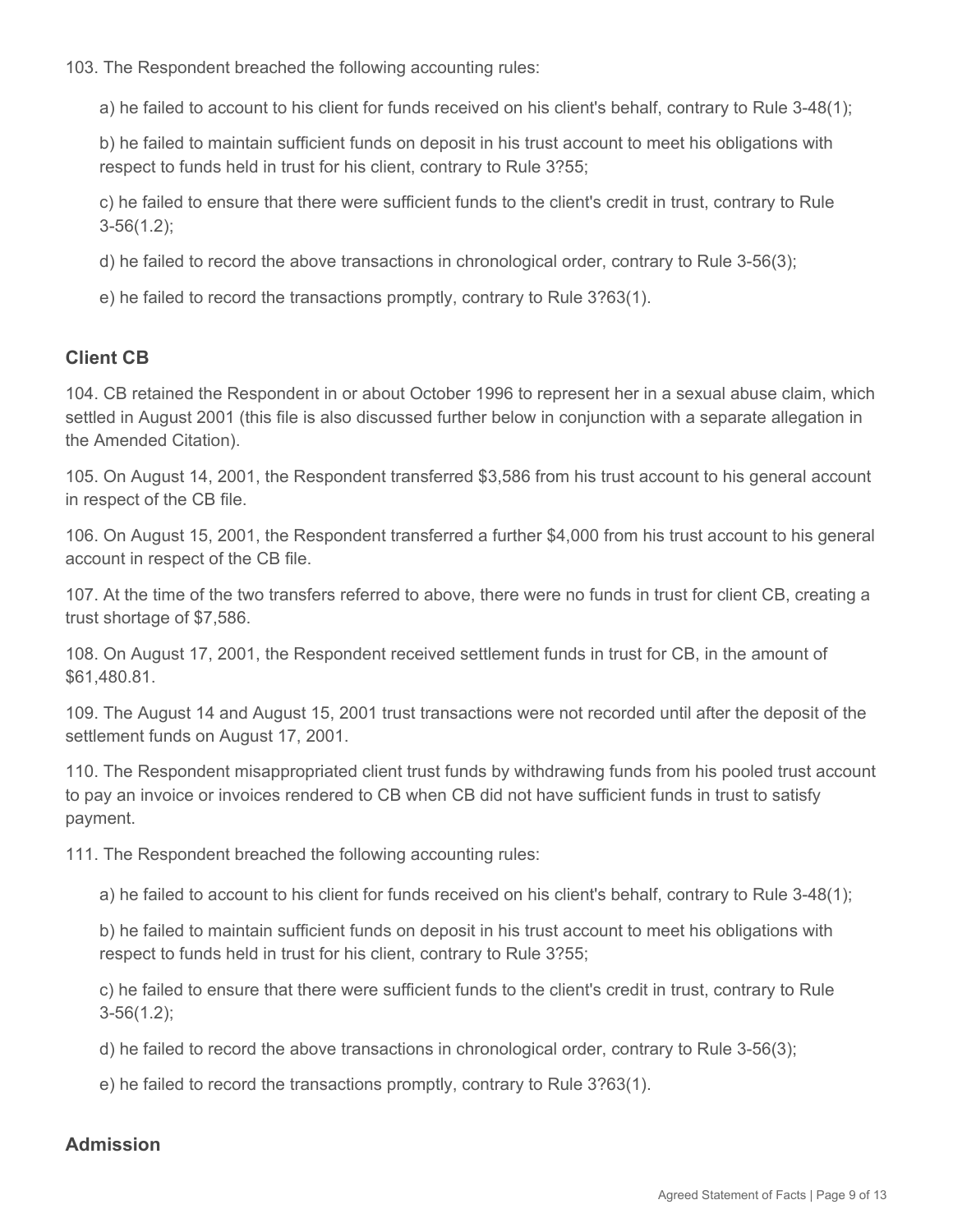103. The Respondent breached the following accounting rules:

a) he failed to account to his client for funds received on his client's behalf, contrary to Rule 3-48(1);

b) he failed to maintain sufficient funds on deposit in his trust account to meet his obligations with respect to funds held in trust for his client, contrary to Rule 3?55;

c) he failed to ensure that there were sufficient funds to the client's credit in trust, contrary to Rule 3-56(1.2);

d) he failed to record the above transactions in chronological order, contrary to Rule 3-56(3);

e) he failed to record the transactions promptly, contrary to Rule 3?63(1).

# **Client CB**

104. CB retained the Respondent in or about October 1996 to represent her in a sexual abuse claim, which settled in August 2001 (this file is also discussed further below in conjunction with a separate allegation in the Amended Citation).

105. On August 14, 2001, the Respondent transferred \$3,586 from his trust account to his general account in respect of the CB file.

106. On August 15, 2001, the Respondent transferred a further \$4,000 from his trust account to his general account in respect of the CB file.

107. At the time of the two transfers referred to above, there were no funds in trust for client CB, creating a trust shortage of \$7,586.

108. On August 17, 2001, the Respondent received settlement funds in trust for CB, in the amount of \$61,480.81.

109. The August 14 and August 15, 2001 trust transactions were not recorded until after the deposit of the settlement funds on August 17, 2001.

110. The Respondent misappropriated client trust funds by withdrawing funds from his pooled trust account to pay an invoice or invoices rendered to CB when CB did not have sufficient funds in trust to satisfy payment.

111. The Respondent breached the following accounting rules:

a) he failed to account to his client for funds received on his client's behalf, contrary to Rule 3-48(1);

b) he failed to maintain sufficient funds on deposit in his trust account to meet his obligations with respect to funds held in trust for his client, contrary to Rule 3?55;

c) he failed to ensure that there were sufficient funds to the client's credit in trust, contrary to Rule 3-56(1.2);

d) he failed to record the above transactions in chronological order, contrary to Rule 3-56(3);

e) he failed to record the transactions promptly, contrary to Rule 3?63(1).

## **Admission**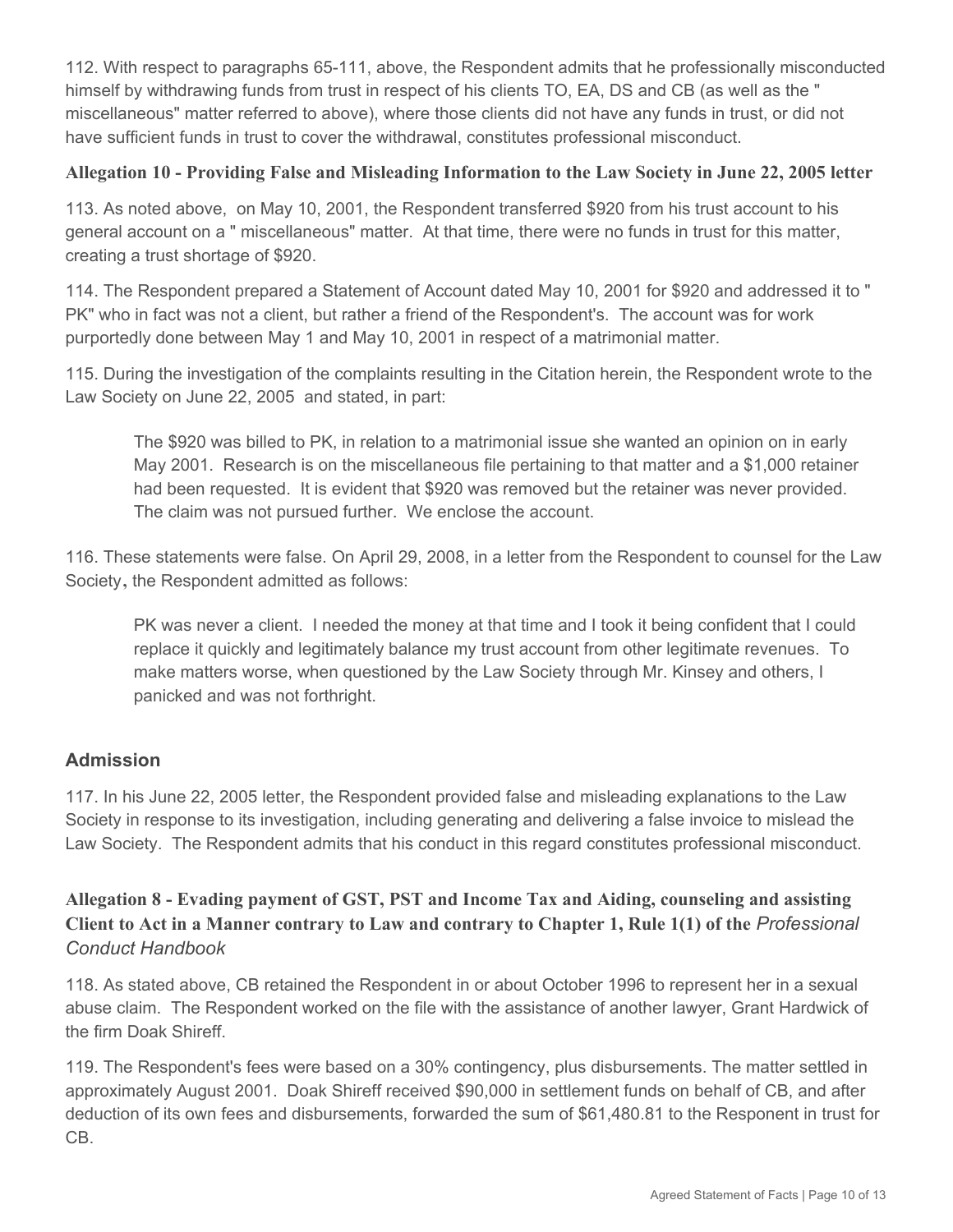112. With respect to paragraphs 65-111, above, the Respondent admits that he professionally misconducted himself by withdrawing funds from trust in respect of his clients TO, EA, DS and CB (as well as the " miscellaneous" matter referred to above), where those clients did not have any funds in trust, or did not have sufficient funds in trust to cover the withdrawal, constitutes professional misconduct.

### **Allegation 10 - Providing False and Misleading Information to the Law Society in June 22, 2005 letter**

113. As noted above, on May 10, 2001, the Respondent transferred \$920 from his trust account to his general account on a " miscellaneous" matter. At that time, there were no funds in trust for this matter, creating a trust shortage of \$920.

114. The Respondent prepared a Statement of Account dated May 10, 2001 for \$920 and addressed it to " PK" who in fact was not a client, but rather a friend of the Respondent's. The account was for work purportedly done between May 1 and May 10, 2001 in respect of a matrimonial matter.

115. During the investigation of the complaints resulting in the Citation herein, the Respondent wrote to the Law Society on June 22, 2005 and stated, in part:

The \$920 was billed to PK, in relation to a matrimonial issue she wanted an opinion on in early May 2001. Research is on the miscellaneous file pertaining to that matter and a \$1,000 retainer had been requested. It is evident that \$920 was removed but the retainer was never provided. The claim was not pursued further. We enclose the account.

116. These statements were false. On April 29, 2008, in a letter from the Respondent to counsel for the Law Society**,** the Respondent admitted as follows:

PK was never a client. I needed the money at that time and I took it being confident that I could replace it quickly and legitimately balance my trust account from other legitimate revenues. To make matters worse, when questioned by the Law Society through Mr. Kinsey and others, I panicked and was not forthright.

## **Admission**

117. In his June 22, 2005 letter, the Respondent provided false and misleading explanations to the Law Society in response to its investigation, including generating and delivering a false invoice to mislead the Law Society. The Respondent admits that his conduct in this regard constitutes professional misconduct.

# **Allegation 8 - Evading payment of GST, PST and Income Tax and Aiding, counseling and assisting Client to Act in a Manner contrary to Law and contrary to Chapter 1, Rule 1(1) of the** *Professional Conduct Handbook*

118. As stated above, CB retained the Respondent in or about October 1996 to represent her in a sexual abuse claim. The Respondent worked on the file with the assistance of another lawyer, Grant Hardwick of the firm Doak Shireff.

119. The Respondent's fees were based on a 30% contingency, plus disbursements. The matter settled in approximately August 2001. Doak Shireff received \$90,000 in settlement funds on behalf of CB, and after deduction of its own fees and disbursements, forwarded the sum of \$61,480.81 to the Responent in trust for CB.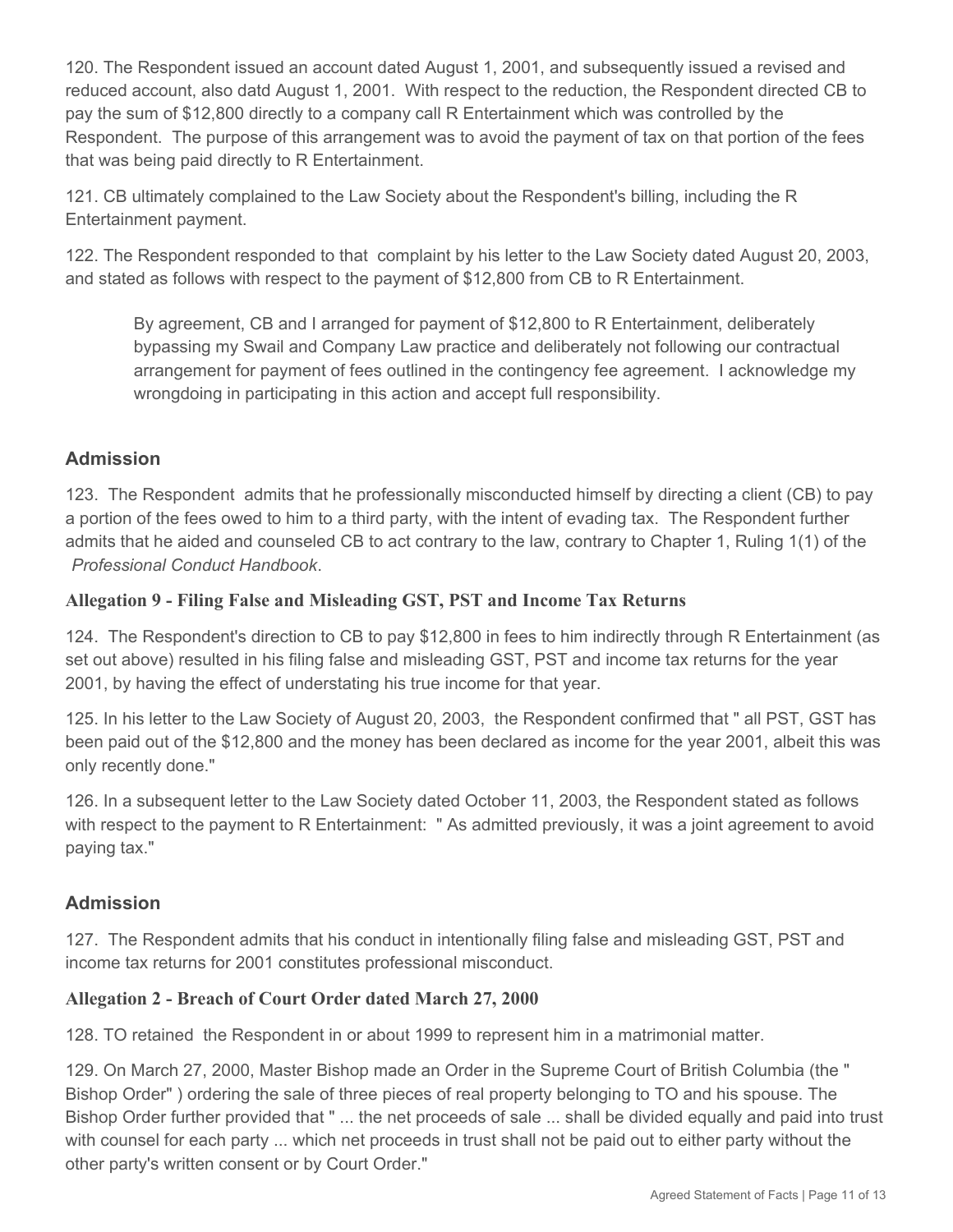120. The Respondent issued an account dated August 1, 2001, and subsequently issued a revised and reduced account, also datd August 1, 2001. With respect to the reduction, the Respondent directed CB to pay the sum of \$12,800 directly to a company call R Entertainment which was controlled by the Respondent. The purpose of this arrangement was to avoid the payment of tax on that portion of the fees that was being paid directly to R Entertainment.

121. CB ultimately complained to the Law Society about the Respondent's billing, including the R Entertainment payment.

122. The Respondent responded to that complaint by his letter to the Law Society dated August 20, 2003, and stated as follows with respect to the payment of \$12,800 from CB to R Entertainment.

By agreement, CB and I arranged for payment of \$12,800 to R Entertainment, deliberately bypassing my Swail and Company Law practice and deliberately not following our contractual arrangement for payment of fees outlined in the contingency fee agreement. I acknowledge my wrongdoing in participating in this action and accept full responsibility.

## **Admission**

123. The Respondent admits that he professionally misconducted himself by directing a client (CB) to pay a portion of the fees owed to him to a third party, with the intent of evading tax. The Respondent further admits that he aided and counseled CB to act contrary to the law, contrary to Chapter 1, Ruling 1(1) of the *Professional Conduct Handbook*.

### **Allegation 9 - Filing False and Misleading GST, PST and Income Tax Returns**

124. The Respondent's direction to CB to pay \$12,800 in fees to him indirectly through R Entertainment (as set out above) resulted in his filing false and misleading GST, PST and income tax returns for the year 2001, by having the effect of understating his true income for that year.

125. In his letter to the Law Society of August 20, 2003, the Respondent confirmed that " all PST, GST has been paid out of the \$12,800 and the money has been declared as income for the year 2001, albeit this was only recently done."

126. In a subsequent letter to the Law Society dated October 11, 2003, the Respondent stated as follows with respect to the payment to R Entertainment: " As admitted previously, it was a joint agreement to avoid paying tax."

## **Admission**

127. The Respondent admits that his conduct in intentionally filing false and misleading GST, PST and income tax returns for 2001 constitutes professional misconduct.

## **Allegation 2 - Breach of Court Order dated March 27, 2000**

128. TO retained the Respondent in or about 1999 to represent him in a matrimonial matter.

129. On March 27, 2000, Master Bishop made an Order in the Supreme Court of British Columbia (the " Bishop Order" ) ordering the sale of three pieces of real property belonging to TO and his spouse. The Bishop Order further provided that " ... the net proceeds of sale ... shall be divided equally and paid into trust with counsel for each party ... which net proceeds in trust shall not be paid out to either party without the other party's written consent or by Court Order."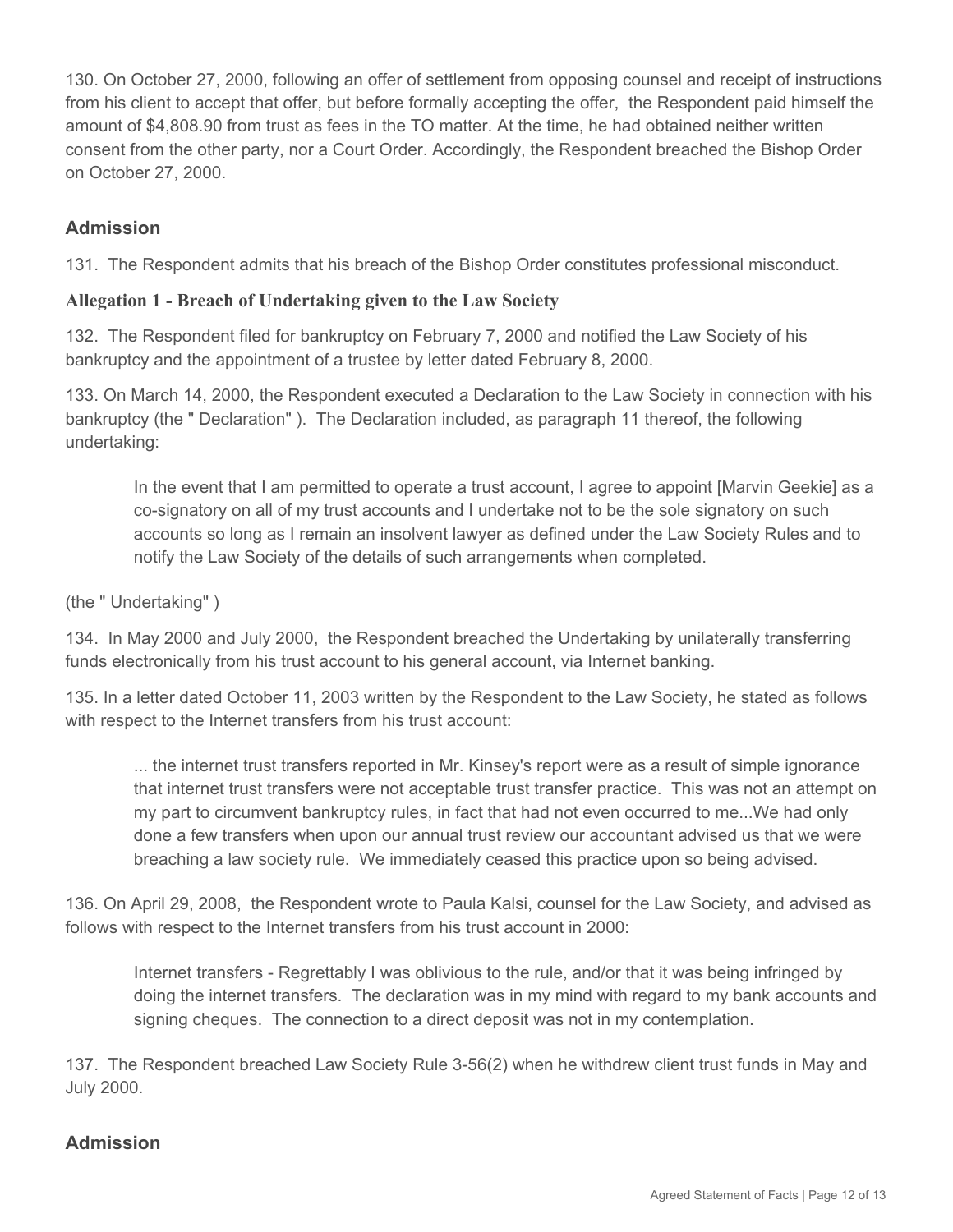130. On October 27, 2000, following an offer of settlement from opposing counsel and receipt of instructions from his client to accept that offer, but before formally accepting the offer, the Respondent paid himself the amount of \$4,808.90 from trust as fees in the TO matter. At the time, he had obtained neither written consent from the other party, nor a Court Order. Accordingly, the Respondent breached the Bishop Order on October 27, 2000.

# **Admission**

131. The Respondent admits that his breach of the Bishop Order constitutes professional misconduct.

### **Allegation 1 - Breach of Undertaking given to the Law Society**

132. The Respondent filed for bankruptcy on February 7, 2000 and notified the Law Society of his bankruptcy and the appointment of a trustee by letter dated February 8, 2000.

133. On March 14, 2000, the Respondent executed a Declaration to the Law Society in connection with his bankruptcy (the " Declaration" ). The Declaration included, as paragraph 11 thereof, the following undertaking:

In the event that I am permitted to operate a trust account, I agree to appoint [Marvin Geekie] as a co-signatory on all of my trust accounts and I undertake not to be the sole signatory on such accounts so long as I remain an insolvent lawyer as defined under the Law Society Rules and to notify the Law Society of the details of such arrangements when completed.

#### (the " Undertaking" )

134. In May 2000 and July 2000, the Respondent breached the Undertaking by unilaterally transferring funds electronically from his trust account to his general account, via Internet banking.

135. In a letter dated October 11, 2003 written by the Respondent to the Law Society, he stated as follows with respect to the Internet transfers from his trust account:

... the internet trust transfers reported in Mr. Kinsey's report were as a result of simple ignorance that internet trust transfers were not acceptable trust transfer practice. This was not an attempt on my part to circumvent bankruptcy rules, in fact that had not even occurred to me...We had only done a few transfers when upon our annual trust review our accountant advised us that we were breaching a law society rule. We immediately ceased this practice upon so being advised.

136. On April 29, 2008, the Respondent wrote to Paula Kalsi, counsel for the Law Society, and advised as follows with respect to the Internet transfers from his trust account in 2000:

Internet transfers - Regrettably I was oblivious to the rule, and/or that it was being infringed by doing the internet transfers. The declaration was in my mind with regard to my bank accounts and signing cheques. The connection to a direct deposit was not in my contemplation.

137. The Respondent breached Law Society Rule 3-56(2) when he withdrew client trust funds in May and July 2000.

# **Admission**